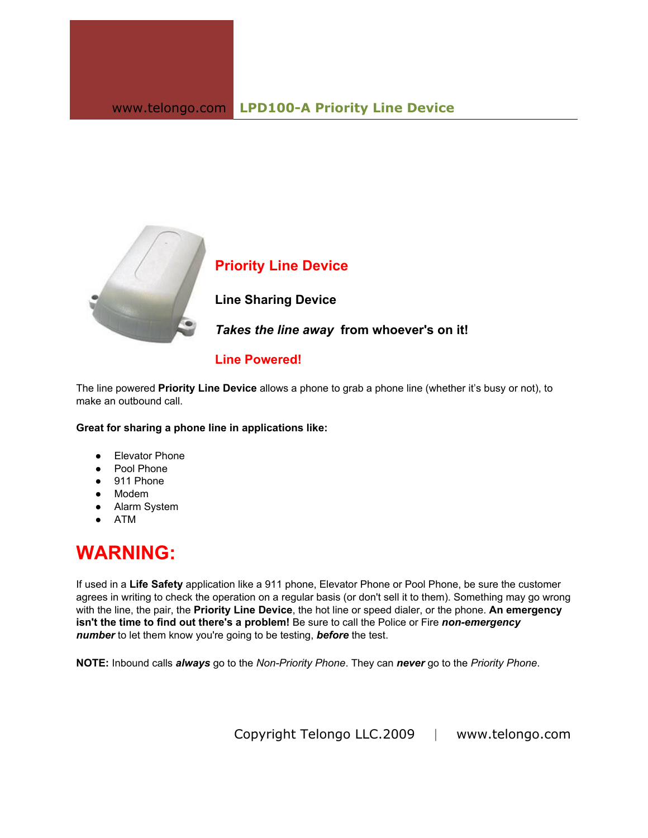

**Priority Line Device**

**Line Sharing Device**

*Takes the line away*  **from whoever's on it!**

## **Line Powered!**

The line powered **Priority Line Device** allows a phone to grab a phone line (whether it's busy or not), to make an outbound call.

**Great for sharing a phone line in applications like:**

- Elevator Phone
- Pool Phone
- 911 Phone
- Modem
- Alarm System
- ATM

## **WARNING:**

If used in a **Life Safety** application like a 911 phone, Elevator Phone or Pool Phone, be sure the customer agrees in writing to check the operation on a regular basis (or don't sell it to them). Something may go wrong with the line, the pair, the **Priority Line Device**, the hot line or speed dialer, or the phone. An emergency **isn't the time to find out there's a problem!** Be sure to call the Police or Fire *non-emergency number* to let them know you're going to be testing, *before* the test.

**NOTE:** Inbound calls *always* go to the *Non- Priority Phone*. They can *never* go to the *Priority Phone*.

Copyright Telongo LLC.2009 | www.telongo.com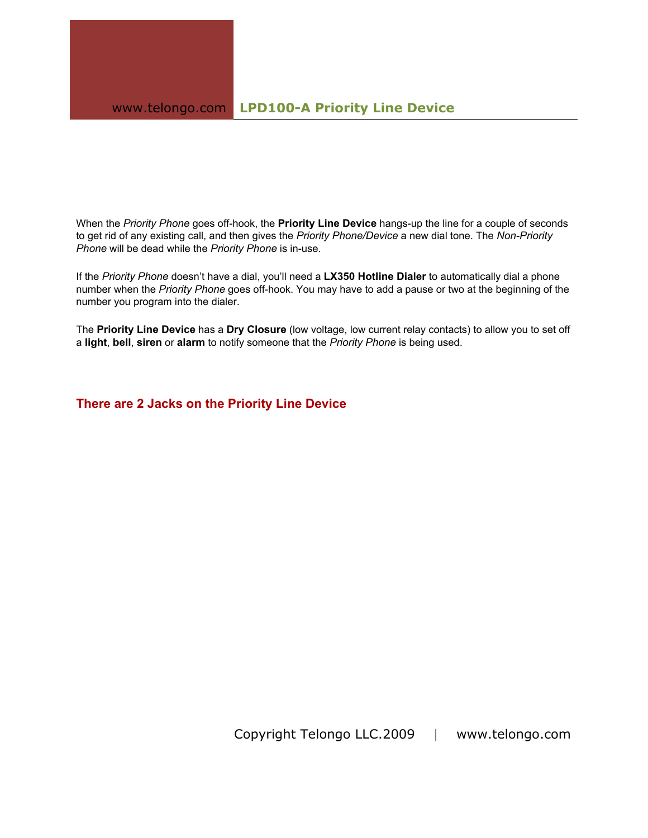When the *Priority Phone* goes off-hook, the **Priority Line Device** hangs-up the line for a couple of seconds to get rid of any existing call, and then gives the *Priority Phone/Device* a new dial tone. The *Non-Priority Phone* will be dead while the *Priority Phone* is in-use.

If the *Priority Phone* doesn't have a dial, you'll need a **LX350 Hotline Dialer** to automatically dial a phone number when the *Priority Phone* goes off-hook. You may have to add a pause or two at the beginning of the number you program into the dialer.

The **Priority Line Device** has a **Dry Closure** (low voltage, low current relay contacts) to allow you to set off a **light**, **bell**, **siren** or **alarm** to notify someone that the *Priority Phone* is being used.

**There are 2 Jacks on the Priority Line Device**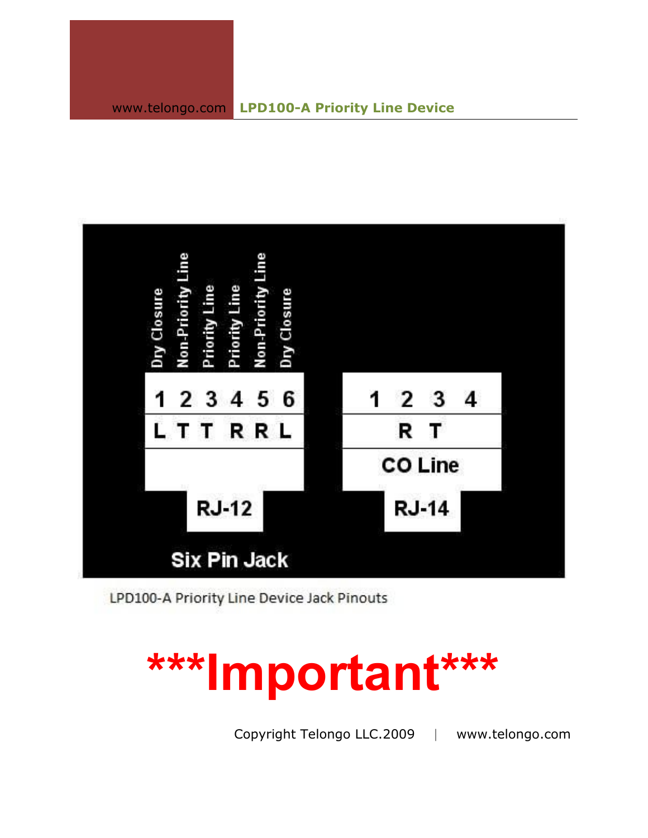

LPD100-A Priority Line Device Jack Pinouts

## **\*\*\*Important\*\*\***

Copyright Telongo LLC.2009 | www.telongo.com